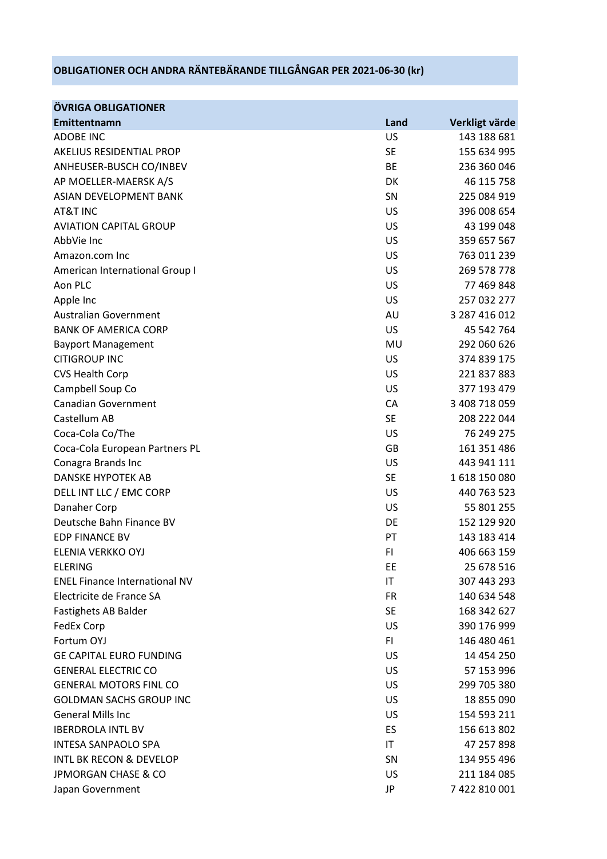## **OBLIGATIONER OCH ANDRA RÄNTEBÄRANDE TILLGÅNGAR PER 2021-06-30 (kr)**

| <b>ÖVRIGA OBLIGATIONER</b>           |           |                |
|--------------------------------------|-----------|----------------|
| Emittentnamn                         | Land      | Verkligt värde |
| <b>ADOBE INC</b>                     | US        | 143 188 681    |
| AKELIUS RESIDENTIAL PROP             | <b>SE</b> | 155 634 995    |
| ANHEUSER-BUSCH CO/INBEV              | BE        | 236 360 046    |
| AP MOELLER-MAERSK A/S                | <b>DK</b> | 46 115 758     |
| ASIAN DEVELOPMENT BANK               | <b>SN</b> | 225 084 919    |
| AT&T INC                             | US        | 396 008 654    |
| <b>AVIATION CAPITAL GROUP</b>        | <b>US</b> | 43 199 048     |
| AbbVie Inc                           | <b>US</b> | 359 657 567    |
| Amazon.com Inc                       | US        | 763 011 239    |
| American International Group I       | <b>US</b> | 269 578 778    |
| Aon PLC                              | <b>US</b> | 77 469 848     |
| Apple Inc                            | <b>US</b> | 257 032 277    |
| <b>Australian Government</b>         | AU        | 3 287 416 012  |
| <b>BANK OF AMERICA CORP</b>          | <b>US</b> | 45 542 764     |
| <b>Bayport Management</b>            | MU        | 292 060 626    |
| <b>CITIGROUP INC</b>                 | US        | 374 839 175    |
| <b>CVS Health Corp</b>               | <b>US</b> | 221 837 883    |
| Campbell Soup Co                     | US        | 377 193 479    |
| <b>Canadian Government</b>           | <b>CA</b> | 3 408 718 059  |
| Castellum AB                         | <b>SE</b> | 208 222 044    |
| Coca-Cola Co/The                     | US        | 76 249 275     |
| Coca-Cola European Partners PL       | GB        | 161 351 486    |
| Conagra Brands Inc                   | US        | 443 941 111    |
| DANSKE HYPOTEK AB                    | <b>SE</b> | 1618150080     |
| DELL INT LLC / EMC CORP              | <b>US</b> | 440 763 523    |
| Danaher Corp                         | <b>US</b> | 55 801 255     |
| Deutsche Bahn Finance BV             | DE        | 152 129 920    |
| <b>EDP FINANCE BV</b>                | PT        | 143 183 414    |
| ELENIA VERKKO OYJ                    | FI.       | 406 663 159    |
| <b>ELERING</b>                       | EE        | 25 678 516     |
| <b>ENEL Finance International NV</b> | IT        | 307 443 293    |
| Electricite de France SA             | <b>FR</b> | 140 634 548    |
| Fastighets AB Balder                 | <b>SE</b> | 168 342 627    |
| FedEx Corp                           | US        | 390 176 999    |
| Fortum OYJ                           | FI.       | 146 480 461    |
| <b>GE CAPITAL EURO FUNDING</b>       | US        | 14 454 250     |
| <b>GENERAL ELECTRIC CO</b>           | US        | 57 153 996     |
| <b>GENERAL MOTORS FINL CO</b>        | US.       | 299 705 380    |
| <b>GOLDMAN SACHS GROUP INC</b>       | US        | 18 855 090     |
| <b>General Mills Inc</b>             | <b>US</b> | 154 593 211    |
| <b>IBERDROLA INTL BV</b>             | <b>ES</b> | 156 613 802    |
| <b>INTESA SANPAOLO SPA</b>           | IT        | 47 257 898     |
| <b>INTL BK RECON &amp; DEVELOP</b>   | <b>SN</b> | 134 955 496    |
| <b>JPMORGAN CHASE &amp; CO</b>       | US        | 211 184 085    |
| Japan Government                     | JP        | 7 422 810 001  |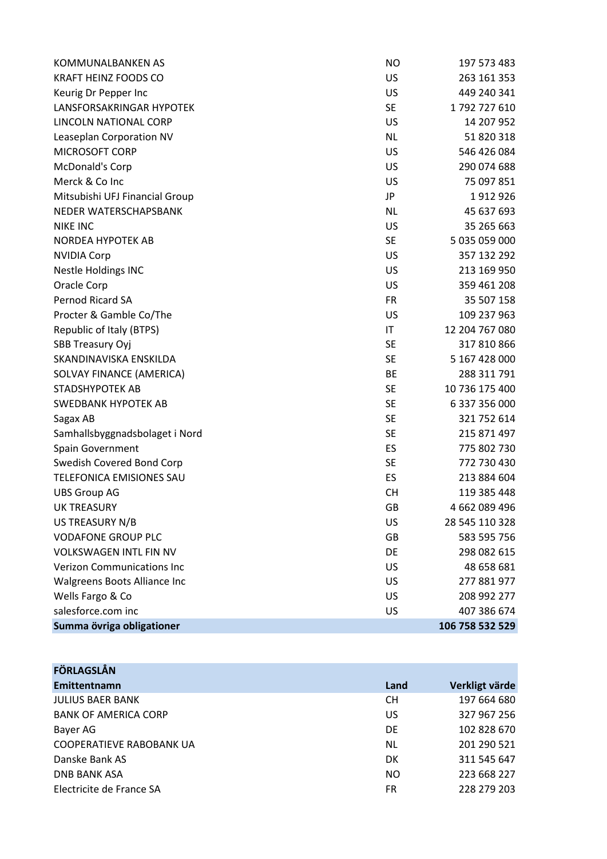| KOMMUNALBANKEN AS                 | <b>NO</b> | 197 573 483     |
|-----------------------------------|-----------|-----------------|
| <b>KRAFT HEINZ FOODS CO</b>       | US        | 263 161 353     |
| Keurig Dr Pepper Inc              | US        | 449 240 341     |
| <b>LANSFORSAKRINGAR HYPOTEK</b>   | <b>SE</b> | 1792727610      |
| LINCOLN NATIONAL CORP             | <b>US</b> | 14 207 952      |
| Leaseplan Corporation NV          | <b>NL</b> | 51 820 318      |
| MICROSOFT CORP                    | <b>US</b> | 546 426 084     |
| McDonald's Corp                   | <b>US</b> | 290 074 688     |
| Merck & Co Inc                    | US        | 75 097 851      |
| Mitsubishi UFJ Financial Group    | JP        | 1912926         |
| NEDER WATERSCHAPSBANK             | <b>NL</b> | 45 637 693      |
| <b>NIKE INC</b>                   | US        | 35 265 663      |
| NORDEA HYPOTEK AB                 | <b>SE</b> | 5 035 059 000   |
| <b>NVIDIA Corp</b>                | US        | 357 132 292     |
| <b>Nestle Holdings INC</b>        | US        | 213 169 950     |
| Oracle Corp                       | US        | 359 461 208     |
| Pernod Ricard SA                  | <b>FR</b> | 35 507 158      |
| Procter & Gamble Co/The           | US        | 109 237 963     |
| Republic of Italy (BTPS)          | IT        | 12 204 767 080  |
| <b>SBB Treasury Oyj</b>           | <b>SE</b> | 317 810 866     |
| SKANDINAVISKA ENSKILDA            | <b>SE</b> | 5 167 428 000   |
| SOLVAY FINANCE (AMERICA)          | BE        | 288 311 791     |
| <b>STADSHYPOTEK AB</b>            | <b>SE</b> | 10 736 175 400  |
| <b>SWEDBANK HYPOTEK AB</b>        | <b>SE</b> | 6 337 356 000   |
| Sagax AB                          | <b>SE</b> | 321 752 614     |
| Samhallsbyggnadsbolaget i Nord    | <b>SE</b> | 215 871 497     |
| Spain Government                  | ES        | 775 802 730     |
| Swedish Covered Bond Corp         | <b>SE</b> | 772 730 430     |
| <b>TELEFONICA EMISIONES SAU</b>   | ES        | 213 884 604     |
| <b>UBS Group AG</b>               | <b>CH</b> | 119 385 448     |
| <b>UK TREASURY</b>                | <b>GB</b> | 4 662 089 496   |
| US TREASURY N/B                   | US        | 28 545 110 328  |
| <b>VODAFONE GROUP PLC</b>         | GB        | 583 595 756     |
| <b>VOLKSWAGEN INTL FIN NV</b>     | DE        | 298 082 615     |
| <b>Verizon Communications Inc</b> | US        | 48 658 681      |
| Walgreens Boots Alliance Inc      | US        | 277 881 977     |
| Wells Fargo & Co                  | US        | 208 992 277     |
| salesforce.com inc                | US        | 407 386 674     |
| Summa övriga obligationer         |           | 106 758 532 529 |

| <b>FÖRLAGSLÅN</b>               |      |                |
|---------------------------------|------|----------------|
| Emittentnamn                    | Land | Verkligt värde |
| <b>JULIUS BAER BANK</b>         | CН   | 197 664 680    |
| <b>BANK OF AMERICA CORP</b>     | US   | 327 967 256    |
| Bayer AG                        | DE   | 102 828 670    |
| <b>COOPERATIEVE RABOBANK UA</b> | NL   | 201 290 521    |
| Danske Bank AS                  | DK   | 311 545 647    |
| <b>DNB BANK ASA</b>             | NO   | 223 668 227    |
| Electricite de France SA        | FR   | 228 279 203    |